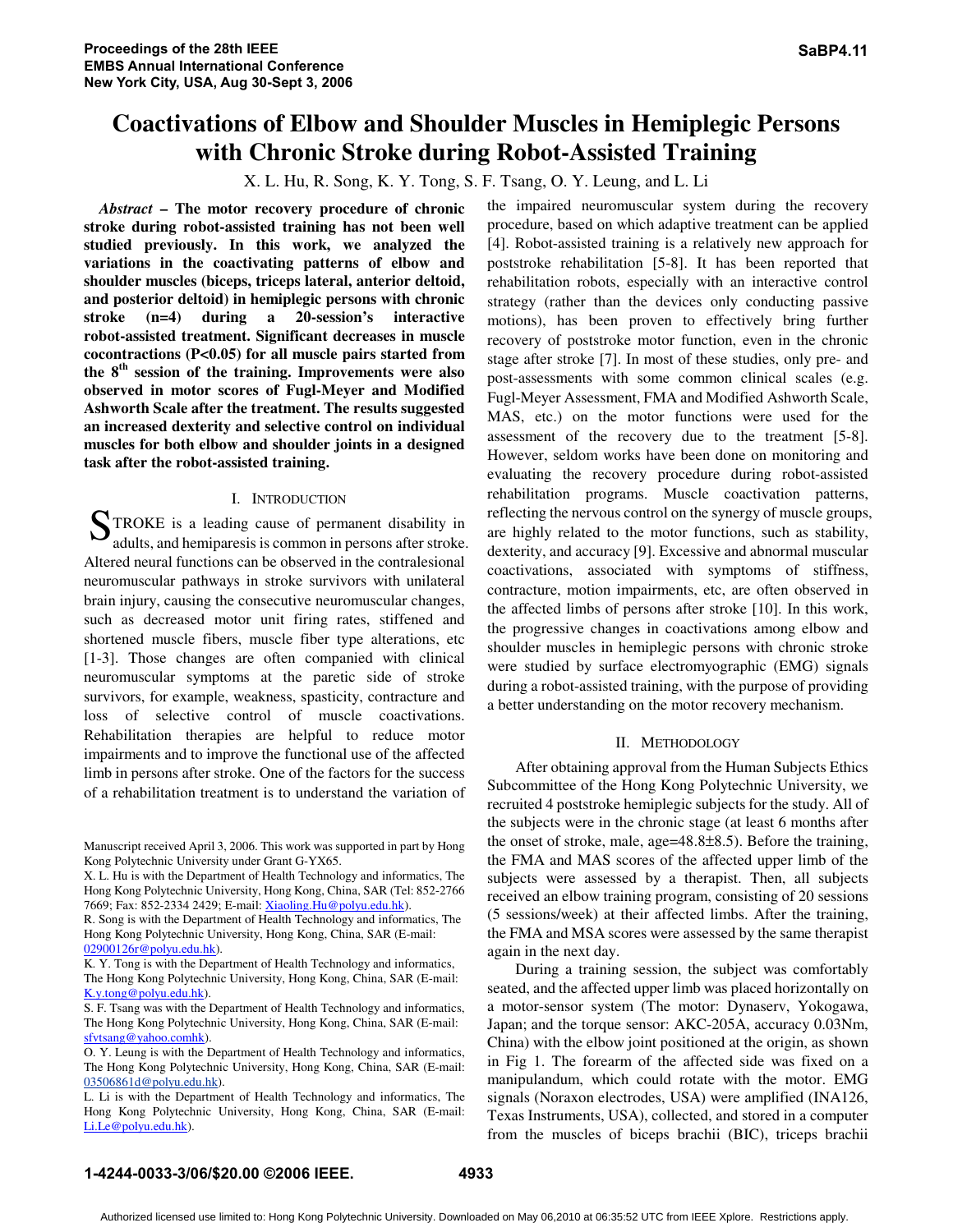# **Coactivations of Elbow and Shoulder Muscles in Hemiplegic Persons with Chronic Stroke during Robot-Assisted Training**

X. L. Hu, R. Song, K. Y. Tong, S. F. Tsang, O. Y. Leung, and L. Li

*Abstract* **– The motor recovery procedure of chronic stroke during robot-assisted training has not been well studied previously. In this work, we analyzed the variations in the coactivating patterns of elbow and shoulder muscles (biceps, triceps lateral, anterior deltoid, and posterior deltoid) in hemiplegic persons with chronic stroke (n=4) during a 20-session's interactive robot-assisted treatment. Significant decreases in muscle cocontractions (P<0.05) for all muscle pairs started from the 8th session of the training. Improvements were also observed in motor scores of Fugl-Meyer and Modified Ashworth Scale after the treatment. The results suggested an increased dexterity and selective control on individual muscles for both elbow and shoulder joints in a designed task after the robot-assisted training.**

# I. INTRODUCTION

TROKE is a leading cause of permanent disability in STROKE is a leading cause of permanent disability in adults, and hemiparesis is common in persons after stroke. Altered neural functions can be observed in the contralesional neuromuscular pathways in stroke survivors with unilateral brain injury, causing the consecutive neuromuscular changes, such as decreased motor unit firing rates, stiffened and shortened muscle fibers, muscle fiber type alterations, etc [1-3]. Those changes are often companied with clinical neuromuscular symptoms at the paretic side of stroke survivors, for example, weakness, spasticity, contracture and loss of selective control of muscle coactivations. Rehabilitation therapies are helpful to reduce motor impairments and to improve the functional use of the affected limb in persons after stroke. One of the factors for the success of a rehabilitation treatment is to understand the variation of

Manuscript received April 3, 2006. This work was supported in part by Hong Kong Polytechnic University under Grant G-YX65.

X. L. Hu is with the Department of Health Technology and informatics, The Hong Kong Polytechnic University, Hong Kong, China, SAR (Tel: 852-2766 7669; Fax: 852-2334 2429; E-mail: Xiaoling.Hu@polyu.edu.hk).

R. Song is with the Department of Health Technology and informatics, The Hong Kong Polytechnic University, Hong Kong, China, SAR (E-mail: 02900126r@polyu.edu.hk).

K. Y. Tong is with the Department of Health Technology and informatics, The Hong Kong Polytechnic University, Hong Kong, China, SAR (E-mail: K.y.tong@polyu.edu.hk).

S. F. Tsang was with the Department of Health Technology and informatics, The Hong Kong Polytechnic University, Hong Kong, China, SAR (E-mail: sfvtsang@yahoo.comhk).

O. Y. Leung is with the Department of Health Technology and informatics, The Hong Kong Polytechnic University, Hong Kong, China, SAR (E-mail: 03506861d@polyu.edu.hk).

L. Li is with the Department of Health Technology and informatics, The Hong Kong Polytechnic University, Hong Kong, China, SAR (E-mail: Li.Le@polyu.edu.hk).

the impaired neuromuscular system during the recovery procedure, based on which adaptive treatment can be applied [4]. Robot-assisted training is a relatively new approach for poststroke rehabilitation [5-8]. It has been reported that rehabilitation robots, especially with an interactive control strategy (rather than the devices only conducting passive motions), has been proven to effectively bring further recovery of poststroke motor function, even in the chronic stage after stroke [7]. In most of these studies, only pre- and post-assessments with some common clinical scales (e.g. Fugl-Meyer Assessment, FMA and Modified Ashworth Scale, MAS, etc.) on the motor functions were used for the assessment of the recovery due to the treatment [5-8]. However, seldom works have been done on monitoring and evaluating the recovery procedure during robot-assisted rehabilitation programs. Muscle coactivation patterns, reflecting the nervous control on the synergy of muscle groups, are highly related to the motor functions, such as stability, dexterity, and accuracy [9]. Excessive and abnormal muscular coactivations, associated with symptoms of stiffness, contracture, motion impairments, etc, are often observed in the affected limbs of persons after stroke [10]. In this work, the progressive changes in coactivations among elbow and shoulder muscles in hemiplegic persons with chronic stroke were studied by surface electromyographic (EMG) signals during a robot-assisted training, with the purpose of providing a better understanding on the motor recovery mechanism.

# II. METHODOLOGY

After obtaining approval from the Human Subjects Ethics Subcommittee of the Hong Kong Polytechnic University, we recruited 4 poststroke hemiplegic subjects for the study. All of the subjects were in the chronic stage (at least 6 months after the onset of stroke, male, age=48.8±8.5). Before the training, the FMA and MAS scores of the affected upper limb of the subjects were assessed by a therapist. Then, all subjects received an elbow training program, consisting of 20 sessions (5 sessions/week) at their affected limbs. After the training, the FMA and MSA scores were assessed by the same therapist again in the next day.

During a training session, the subject was comfortably seated, and the affected upper limb was placed horizontally on a motor-sensor system (The motor: Dynaserv, Yokogawa, Japan; and the torque sensor: AKC-205A, accuracy 0.03Nm, China) with the elbow joint positioned at the origin, as shown in Fig 1. The forearm of the affected side was fixed on a manipulandum, which could rotate with the motor. EMG signals (Noraxon electrodes, USA) were amplified (INA126, Texas Instruments, USA), collected, and stored in a computer from the muscles of biceps brachii (BIC), triceps brachii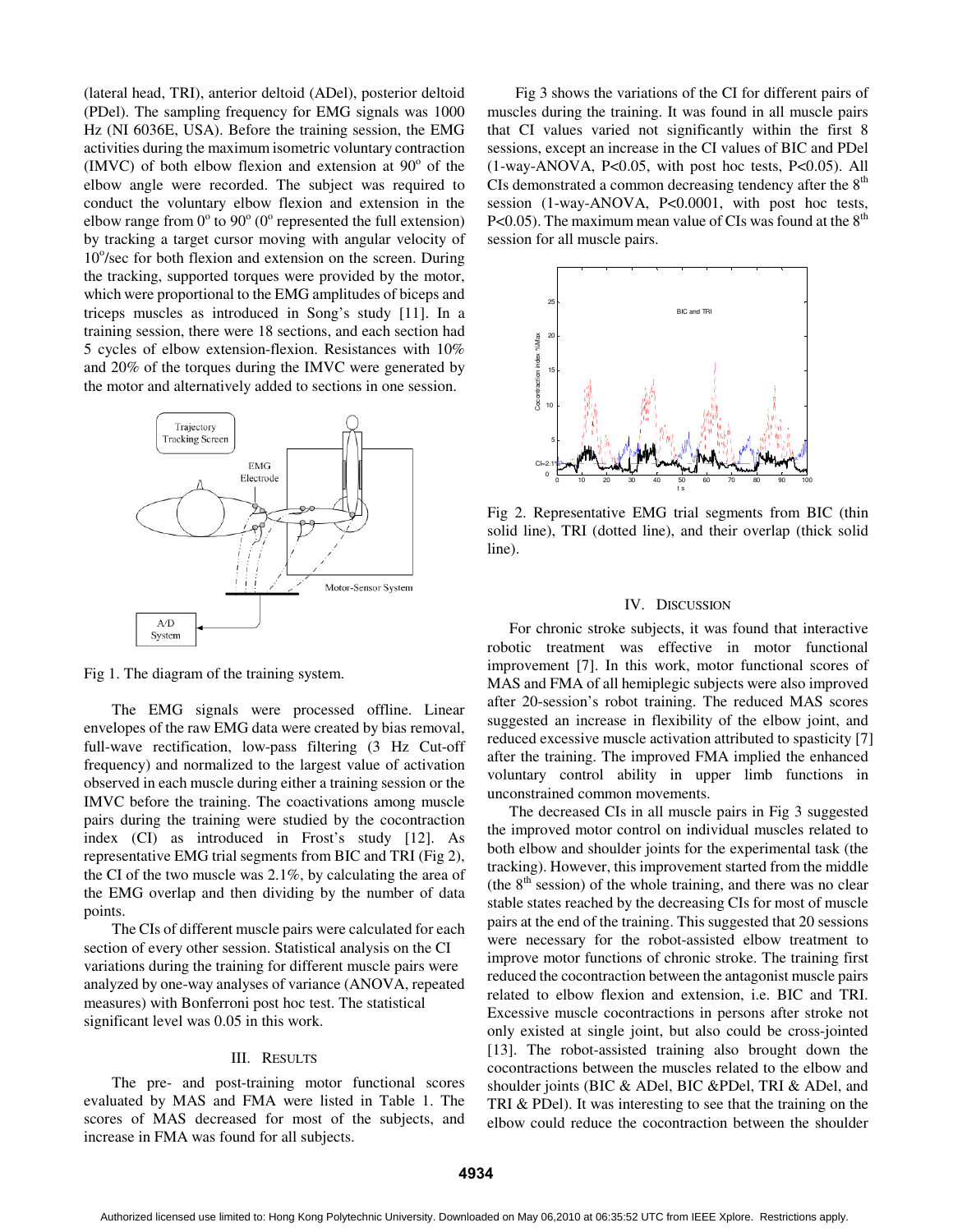(lateral head, TRI), anterior deltoid (ADel), posterior deltoid (PDel). The sampling frequency for EMG signals was 1000 Hz (NI 6036E, USA). Before the training session, the EMG activities during the maximum isometric voluntary contraction  $(MVC)$  of both elbow flexion and extension at  $90^\circ$  of the elbow angle were recorded. The subject was required to conduct the voluntary elbow flexion and extension in the elbow range from  $0^{\circ}$  to  $90^{\circ}$  (0° represented the full extension) by tracking a target cursor moving with angular velocity of 10°/sec for both flexion and extension on the screen. During the tracking, supported torques were provided by the motor, which were proportional to the EMG amplitudes of biceps and triceps muscles as introduced in Song's study [11]. In a training session, there were 18 sections, and each section had 5 cycles of elbow extension-flexion. Resistances with 10% and 20% of the torques during the IMVC were generated by the motor and alternatively added to sections in one session.



Fig 1. The diagram of the training system.

The EMG signals were processed offline. Linear envelopes of the raw EMG data were created by bias removal, full-wave rectification, low-pass filtering (3 Hz Cut-off frequency) and normalized to the largest value of activation observed in each muscle during either a training session or the IMVC before the training. The coactivations among muscle pairs during the training were studied by the cocontraction index (CI) as introduced in Frost's study [12]. As representative EMG trial segments from BIC and TRI (Fig 2), the CI of the two muscle was 2.1%, by calculating the area of the EMG overlap and then dividing by the number of data points.

The CIs of different muscle pairs were calculated for each section of every other session. Statistical analysis on the CI variations during the training for different muscle pairs were analyzed by one-way analyses of variance (ANOVA, repeated measures) with Bonferroni post hoc test. The statistical significant level was 0.05 in this work.

## III. RESULTS

The pre- and post-training motor functional scores evaluated by MAS and FMA were listed in Table 1. The scores of MAS decreased for most of the subjects, and increase in FMA was found for all subjects.

Fig 3 shows the variations of the CI for different pairs of muscles during the training. It was found in all muscle pairs that CI values varied not significantly within the first 8 sessions, except an increase in the CI values of BIC and PDel (1-way-ANOVA, P<0.05, with post hoc tests, P<0.05). All CIs demonstrated a common decreasing tendency after the 8<sup>th</sup> session (1-way-ANOVA, P<0.0001, with post hoc tests, P<0.05). The maximum mean value of CIs was found at the  $8<sup>th</sup>$ session for all muscle pairs.



Fig 2. Representative EMG trial segments from BIC (thin solid line), TRI (dotted line), and their overlap (thick solid line).

#### IV. DISCUSSION

For chronic stroke subjects, it was found that interactive robotic treatment was effective in motor functional improvement [7]. In this work, motor functional scores of MAS and FMA of all hemiplegic subjects were also improved after 20-session's robot training. The reduced MAS scores suggested an increase in flexibility of the elbow joint, and reduced excessive muscle activation attributed to spasticity [7] after the training. The improved FMA implied the enhanced voluntary control ability in upper limb functions in unconstrained common movements.

The decreased CIs in all muscle pairs in Fig 3 suggested the improved motor control on individual muscles related to both elbow and shoulder joints for the experimental task (the tracking). However, this improvement started from the middle (the  $8<sup>th</sup>$  session) of the whole training, and there was no clear stable states reached by the decreasing CIs for most of muscle pairs at the end of the training. This suggested that 20 sessions were necessary for the robot-assisted elbow treatment to improve motor functions of chronic stroke. The training first reduced the cocontraction between the antagonist muscle pairs related to elbow flexion and extension, i.e. BIC and TRI. Excessive muscle cocontractions in persons after stroke not only existed at single joint, but also could be cross-jointed [13]. The robot-assisted training also brought down the cocontractions between the muscles related to the elbow and shoulder joints (BIC & ADel, BIC &PDel, TRI & ADel, and TRI & PDel). It was interesting to see that the training on the elbow could reduce the cocontraction between the shoulder